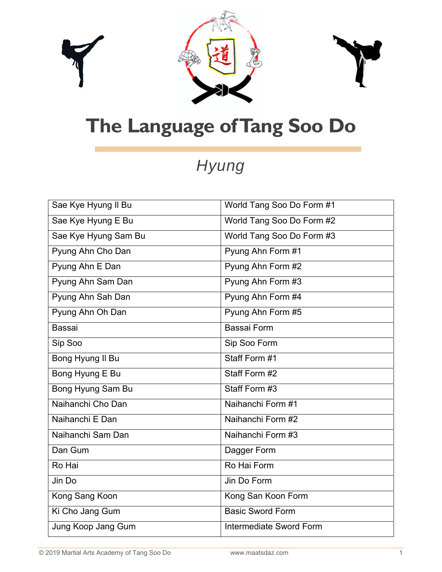



## **The Language of Tang Soo Do**

## *Hyung*

| Sae Kye Hyung II Bu      | World Tang Soo Do Form #1      |
|--------------------------|--------------------------------|
| Sae Kye Hyung E Bu       | World Tang Soo Do Form #2      |
| Sae Kye Hyung Sam Bu     | World Tang Soo Do Form #3      |
| Pyung Ahn Cho Dan        | Pyung Ahn Form #1              |
| Pyung Ahn E Dan          | Pyung Ahn Form #2              |
| Pyung Ahn Sam Dan        | Pyung Ahn Form #3              |
| Pyung Ahn Sah Dan        | Pyung Ahn Form #4              |
| Pyung Ahn Oh Dan         | Pyung Ahn Form #5              |
| <b>Bassai</b>            | Bassai Form                    |
| Sip Soo                  | Sip Soo Form                   |
| Bong Hyung II Bu         | Staff Form #1                  |
| Bong Hyung E Bu          | Staff Form #2                  |
| <b>Bong Hyung Sam Bu</b> | Staff Form #3                  |
| Naihanchi Cho Dan        | Naihanchi Form #1              |
| Naihanchi E Dan          | Naihanchi Form #2              |
| Naihanchi Sam Dan        | Naihanchi Form #3              |
| Dan Gum                  | Dagger Form                    |
| Ro Hai                   | Ro Hai Form                    |
| Jin Do                   | Jin Do Form                    |
| Kong Sang Koon           | Kong San Koon Form             |
| Ki Cho Jang Gum          | <b>Basic Sword Form</b>        |
| Jung Koop Jang Gum       | <b>Intermediate Sword Form</b> |